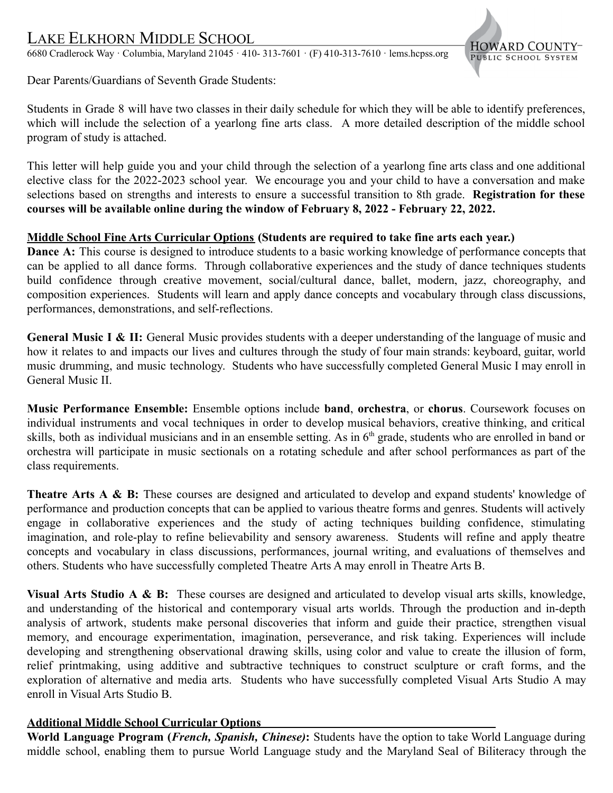# LAKE ELKHORN MIDDLE SCHOOL

6680 Cradlerock Way · Columbia, Maryland 21045 · 410- 313-7601 · (F) 410-313-7610 · lems.hcpss.org



Dear Parents/Guardians of Seventh Grade Students:

Students in Grade 8 will have two classes in their daily schedule for which they will be able to identify preferences, which will include the selection of a yearlong fine arts class. A more detailed description of the middle school program of study is attached.

This letter will help guide you and your child through the selection of a yearlong fine arts class and one additional elective class for the 2022-2023 school year. We encourage you and your child to have a conversation and make selections based on strengths and interests to ensure a successful transition to 8th grade. **Registration for these courses will be available online during the window of February 8, 2022 - February 22, 2022.**

### **Middle School Fine Arts Curricular Options (Students are required to take fine arts each year.)**

**Dance A:** This course is designed to introduce students to a basic working knowledge of performance concepts that can be applied to all dance forms. Through collaborative experiences and the study of dance techniques students build confidence through creative movement, social/cultural dance, ballet, modern, jazz, choreography, and composition experiences. Students will learn and apply dance concepts and vocabulary through class discussions, performances, demonstrations, and self-reflections.

**General Music I & II:** General Music provides students with a deeper understanding of the language of music and how it relates to and impacts our lives and cultures through the study of four main strands: keyboard, guitar, world music drumming, and music technology. Students who have successfully completed General Music I may enroll in General Music II.

**Music Performance Ensemble:** Ensemble options include **band**, **orchestra**, or **chorus**. Coursework focuses on individual instruments and vocal techniques in order to develop musical behaviors, creative thinking, and critical skills, both as individual musicians and in an ensemble setting. As in 6<sup>th</sup> grade, students who are enrolled in band or orchestra will participate in music sectionals on a rotating schedule and after school performances as part of the class requirements.

**Theatre Arts A & B:** These courses are designed and articulated to develop and expand students' knowledge of performance and production concepts that can be applied to various theatre forms and genres. Students will actively engage in collaborative experiences and the study of acting techniques building confidence, stimulating imagination, and role-play to refine believability and sensory awareness. Students will refine and apply theatre concepts and vocabulary in class discussions, performances, journal writing, and evaluations of themselves and others. Students who have successfully completed Theatre Arts A may enroll in Theatre Arts B.

**Visual Arts Studio A & B:** These courses are designed and articulated to develop visual arts skills, knowledge, and understanding of the historical and contemporary visual arts worlds. Through the production and in-depth analysis of artwork, students make personal discoveries that inform and guide their practice, strengthen visual memory, and encourage experimentation, imagination, perseverance, and risk taking. Experiences will include developing and strengthening observational drawing skills, using color and value to create the illusion of form, relief printmaking, using additive and subtractive techniques to construct sculpture or craft forms, and the exploration of alternative and media arts. Students who have successfully completed Visual Arts Studio A may enroll in Visual Arts Studio B.

### **Additional Middle School Curricular Options**

**World Language Program (***French, Spanish, Chinese)***:** Students have the option to take World Language during middle school, enabling them to pursue World Language study and the Maryland Seal of Biliteracy through the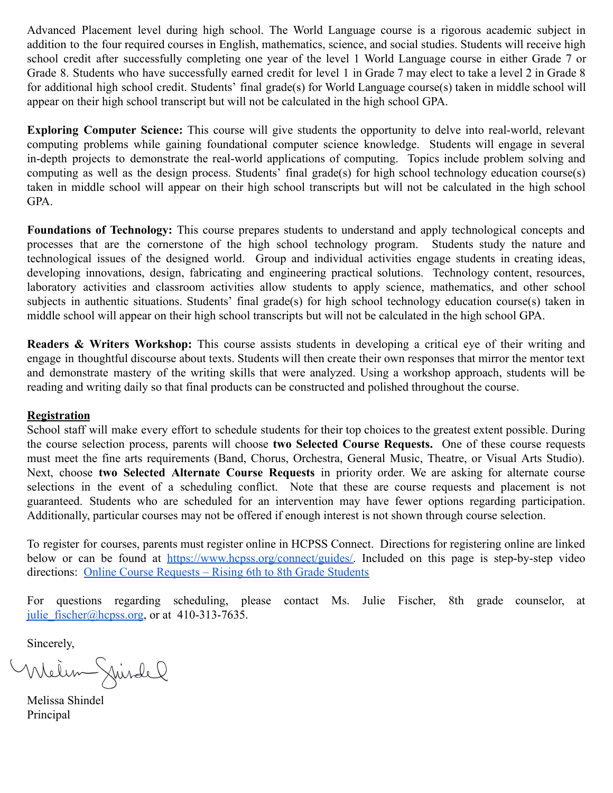Advanced Placement level during high school. The World Language course is a rigorous academic subject in addition to the four required courses in English, mathematics, science, and social studies. Students will receive high school credit after successfully completing one year of the level 1 World Language course in either Grade 7 or Grade 8. Students who have successfully earned credit for level 1 in Grade 7 may elect to take a level 2 in Grade 8 for additional high school credit. Students' final grade(s) for World Language course(s) taken in middle school will appear on their high school transcript but will not be calculated in the high school GPA.

**Exploring Computer Science:** This course will give students the opportunity to delve into real-world, relevant computing problems while gaining foundational computer science knowledge. Students will engage in several in-depth projects to demonstrate the real-world applications of computing. Topics include problem solving and computing as well as the design process. Students' final grade(s) for high school technology education course(s) taken in middle school will appear on their high school transcripts but will not be calculated in the high school GPA.

**Foundations of Technology:** This course prepares students to understand and apply technological concepts and processes that are the cornerstone of the high school technology program. Students study the nature and technological issues of the designed world. Group and individual activities engage students in creating ideas, developing innovations, design, fabricating and engineering practical solutions. Technology content, resources, laboratory activities and classroom activities allow students to apply science, mathematics, and other school subjects in authentic situations. Students' final grade(s) for high school technology education course(s) taken in middle school will appear on their high school transcripts but will not be calculated in the high school GPA.

**Readers & Writers Workshop:** This course assists students in developing a critical eye of their writing and engage in thoughtful discourse about texts. Students will then create their own responses that mirror the mentor text and demonstrate mastery of the writing skills that were analyzed. Using a workshop approach, students will be reading and writing daily so that final products can be constructed and polished throughout the course.

### **Registration**

School staff will make every effort to schedule students for their top choices to the greatest extent possible. During the course selection process, parents will choose **two Selected Course Requests.** One of these course requests must meet the fine arts requirements (Band, Chorus, Orchestra, General Music, Theatre, or Visual Arts Studio). Next, choose **two Selected Alternate Course Requests** in priority order. We are asking for alternate course selections in the event of a scheduling conflict. Note that these are course requests and placement is not guaranteed. Students who are scheduled for an intervention may have fewer options regarding participation. Additionally, particular courses may not be offered if enough interest is not shown through course selection.

To register for courses, parents must register online in HCPSS Connect. Directions for registering online are linked below or can be found at [https://www.hcpss.org/connect/guides/.](https://www.hcpss.org/connect/guides/) Included on this page is step-by-step video directions: [Online Course Requests – Rising 6th to](https://www.hcpss.org/f/connect/hcpss-connect-online-course-requests-6th-8th.pdf) 8th Grade Students

For questions regarding scheduling, please contact Ms. Julie Fischer, 8th grade counselor, at julie fischer@hcpss.org, or at 410-313-7635.

Sincerely,<br>Wielen Juisdel

Melissa Shindel Principal